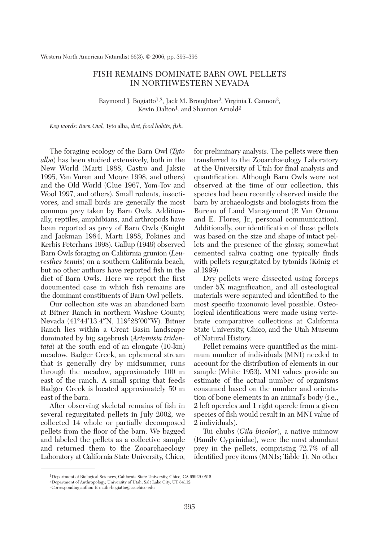Western North American Naturalist 66(3), © 2006, pp. 395–396

## FISH REMAINS DOMINATE BARN OWL PELLETS IN NORTHWESTERN NEVADA

Raymond J. Bogiatto<sup>1,3</sup>, Jack M. Broughton<sup>2</sup>, Virginia I. Cannon<sup>2</sup>, Kevin Dalton<sup>1</sup>, and Shannon Arnold<sup>2</sup>

*Key words: Barn Owl,* Tyto alba, *diet, food habits, fish.*

The foraging ecology of the Barn Owl (*Tyto alba*) has been studied extensively, both in the New World (Marti 1988, Castro and Jaksic 1995, Van Vuren and Moore 1998, and others) and the Old World (Glue 1967, Yom-Tov and Wool 1997, and others). Small rodents, insectivores, and small birds are generally the most common prey taken by Barn Owls. Additionally, reptiles, amphibians, and arthropods have been reported as prey of Barn Owls (Knight and Jackman 1984, Marti 1988, Pokines and Kerbis Peterhans 1998). Gallup (1949) observed Barn Owls foraging on California grunion (*Leuresthes tenuis*) on a southern California beach, but no other authors have reported fish in the diet of Barn Owls. Here we report the first documented case in which fish remains are the dominant constituents of Barn Owl pellets.

Our collection site was an abandoned barn at Bitner Ranch in northern Washoe County, Nevada (41°44′13.4″N, 119°28′00″W). Bitner Ranch lies within a Great Basin landscape dominated by big sagebrush (*Artemisia tridentata*) at the south end of an elongate (10-km) meadow. Badger Creek, an ephemeral stream that is generally dry by midsummer, runs through the meadow, approximately 100 m east of the ranch. A small spring that feeds Badger Creek is located approximately 50 m east of the barn.

After observing skeletal remains of fish in several regurgitated pellets in July 2002, we collected 14 whole or partially decomposed pellets from the floor of the barn. We bagged and labeled the pellets as a collective sample and returned them to the Zooarchaeology Laboratory at California State University, Chico, for preliminary analysis. The pellets were then transferred to the Zooarchaeology Laboratory at the University of Utah for final analysis and quantification. Although Barn Owls were not observed at the time of our collection, this species had been recently observed inside the barn by archaeologists and biologists from the Bureau of Land Management (P. Van Ornum and E. Flores, Jr., personal communication). Additionally, our identification of these pellets was based on the size and shape of intact pellets and the presence of the glossy, somewhat cemented saliva coating one typically finds with pellets regurgitated by tytonids (König et al.1999).

Dry pellets were dissected using forceps under 5X magnification, and all osteological materials were separated and identified to the most specific taxonomic level possible. Osteological identifications were made using vertebrate comparative collections at California State University, Chico, and the Utah Museum of Natural History.

Pellet remains were quantified as the minimum number of individuals (MNI) needed to account for the distribution of elements in our sample (White 1953). MNI values provide an estimate of the actual number of organisms consumed based on the number and orientation of bone elements in an animal's body (i.e., 2 left opercles and 1 right opercle from a given species of fish would result in an MNI value of 2 individuals).

Tui chubs (*Gila bicolor*), a native minnow (Family Cyprinidae), were the most abundant prey in the pellets, comprising 72.7% of all identified prey items (MNIs; Table 1). No other

<sup>1</sup>Department of Biological Sciences, California State University, Chico, CA 95929-0515.

<sup>2</sup>Department of Anthropology, University of Utah, Salt Lake City, UT 84112.

<sup>3</sup>Corresponding author. E-mail: rbogiatto@csuchico.edu